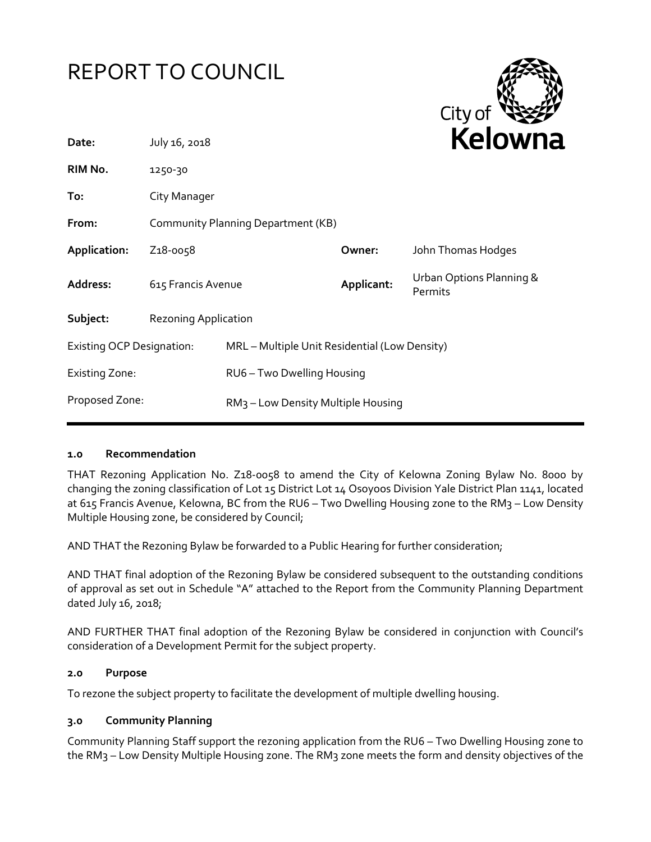



| July 16, 2018                      |                                                |                                               | <b>Relown</b>                       |  |
|------------------------------------|------------------------------------------------|-----------------------------------------------|-------------------------------------|--|
| 1250-30                            |                                                |                                               |                                     |  |
| City Manager                       |                                                |                                               |                                     |  |
| Community Planning Department (KB) |                                                |                                               |                                     |  |
| Z <sub>1</sub> 8-0058              |                                                | Owner:                                        | John Thomas Hodges                  |  |
|                                    |                                                | Applicant:                                    | Urban Options Planning &<br>Permits |  |
| <b>Rezoning Application</b>        |                                                |                                               |                                     |  |
| <b>Existing OCP Designation:</b>   |                                                | MRL - Multiple Unit Residential (Low Density) |                                     |  |
|                                    | RU6 - Two Dwelling Housing                     |                                               |                                     |  |
| Proposed Zone:                     | RM <sub>3</sub> – Low Density Multiple Housing |                                               |                                     |  |
|                                    |                                                | 615 Francis Avenue                            |                                     |  |

#### **1.0 Recommendation**

THAT Rezoning Application No. Z18-0058 to amend the City of Kelowna Zoning Bylaw No. 8000 by changing the zoning classification of Lot 15 District Lot 14 Osoyoos Division Yale District Plan 1141, located at 615 Francis Avenue, Kelowna, BC from the RU6 - Two Dwelling Housing zone to the RM3 - Low Density Multiple Housing zone, be considered by Council;

AND THAT the Rezoning Bylaw be forwarded to a Public Hearing for further consideration;

AND THAT final adoption of the Rezoning Bylaw be considered subsequent to the outstanding conditions of approval as set out in Schedule "A" attached to the Report from the Community Planning Department dated July 16, 2018;

AND FURTHER THAT final adoption of the Rezoning Bylaw be considered in conjunction with Council's consideration of a Development Permit for the subject property.

#### **2.0 Purpose**

To rezone the subject property to facilitate the development of multiple dwelling housing.

#### **3.0 Community Planning**

Community Planning Staff support the rezoning application from the RU6 – Two Dwelling Housing zone to the RM3 – Low Density Multiple Housing zone. The RM3 zone meets the form and density objectives of the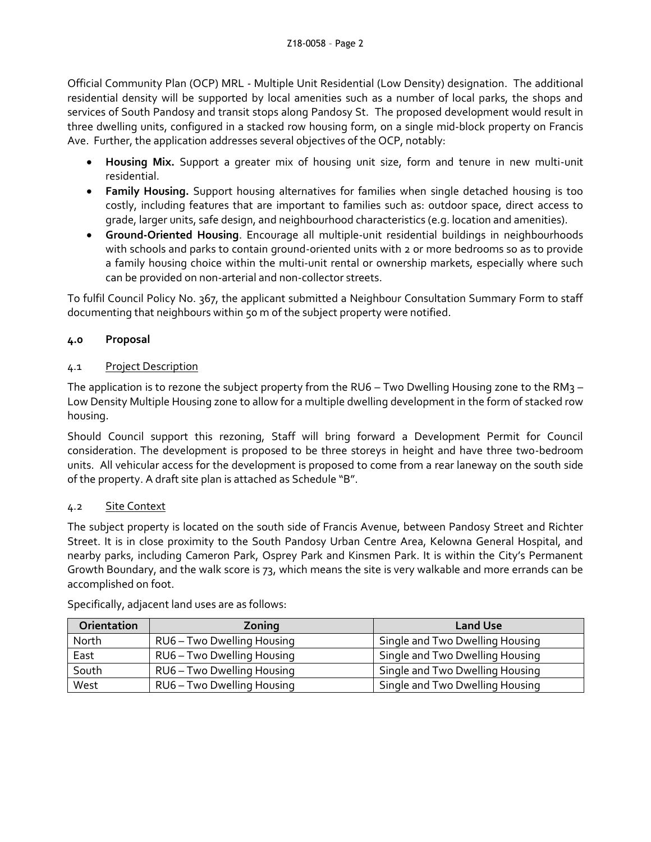Official Community Plan (OCP) MRL - Multiple Unit Residential (Low Density) designation. The additional residential density will be supported by local amenities such as a number of local parks, the shops and services of South Pandosy and transit stops along Pandosy St. The proposed development would result in three dwelling units, configured in a stacked row housing form, on a single mid-block property on Francis Ave. Further, the application addresses several objectives of the OCP, notably:

- **Housing Mix.** Support a greater mix of housing unit size, form and tenure in new multi-unit residential.
- **Family Housing.** Support housing alternatives for families when single detached housing is too costly, including features that are important to families such as: outdoor space, direct access to grade, larger units, safe design, and neighbourhood characteristics (e.g. location and amenities).
- **Ground-Oriented Housing**. Encourage all multiple-unit residential buildings in neighbourhoods with schools and parks to contain ground-oriented units with 2 or more bedrooms so as to provide a family housing choice within the multi-unit rental or ownership markets, especially where such can be provided on non-arterial and non-collector streets.

To fulfil Council Policy No. 367, the applicant submitted a Neighbour Consultation Summary Form to staff documenting that neighbours within 50 m of the subject property were notified.

# **4.0 Proposal**

# 4.1 Project Description

The application is to rezone the subject property from the RU6 – Two Dwelling Housing zone to the RM3 – Low Density Multiple Housing zone to allow for a multiple dwelling development in the form of stacked row housing.

Should Council support this rezoning, Staff will bring forward a Development Permit for Council consideration. The development is proposed to be three storeys in height and have three two-bedroom units. All vehicular access for the development is proposed to come from a rear laneway on the south side of the property. A draft site plan is attached as Schedule "B".

## 4.2 Site Context

The subject property is located on the south side of Francis Avenue, between Pandosy Street and Richter Street. It is in close proximity to the South Pandosy Urban Centre Area, Kelowna General Hospital, and nearby parks, including Cameron Park, Osprey Park and Kinsmen Park. It is within the City's Permanent Growth Boundary, and the walk score is 73, which means the site is very walkable and more errands can be accomplished on foot.

| Orientation | Zoning                     | <b>Land Use</b>                 |
|-------------|----------------------------|---------------------------------|
| North       | RU6 - Two Dwelling Housing | Single and Two Dwelling Housing |
| East        | RU6 - Two Dwelling Housing | Single and Two Dwelling Housing |
| South       | RU6 - Two Dwelling Housing | Single and Two Dwelling Housing |
| West        | RU6-Two Dwelling Housing   | Single and Two Dwelling Housing |

Specifically, adjacent land uses are as follows: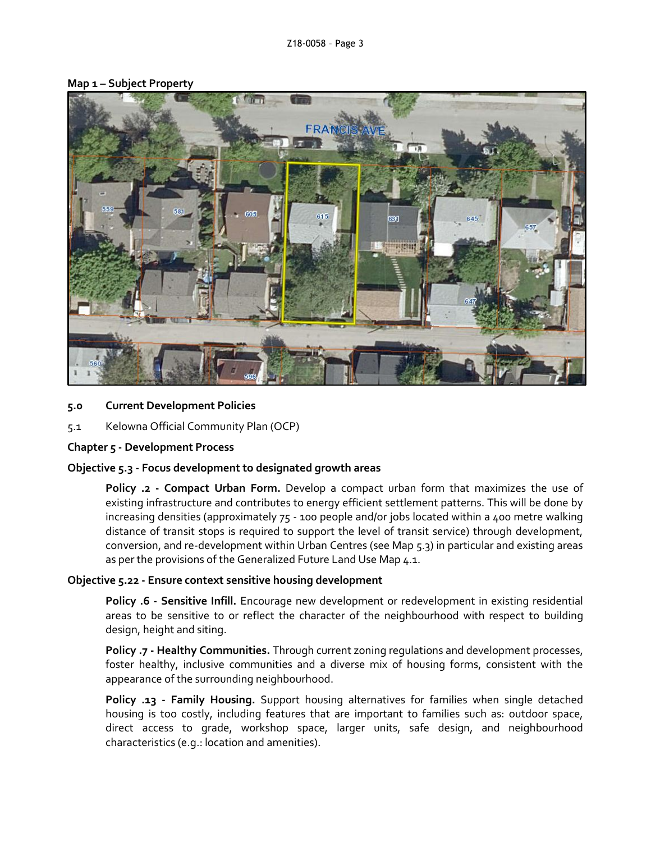

#### **Map 1 – Subject Property**

#### **5.0 Current Development Policies**

5.1 Kelowna Official Community Plan (OCP)

#### **Chapter 5 - Development Process**

#### **Objective 5.3 - Focus development to designated growth areas**

**Policy .2 - Compact Urban Form.** Develop a compact urban form that maximizes the use of existing infrastructure and contributes to energy efficient settlement patterns. This will be done by increasing densities (approximately 75 - 100 people and/or jobs located within a 400 metre walking distance of transit stops is required to support the level of transit service) through development, conversion, and re-development within Urban Centres (see Map 5.3) in particular and existing areas as per the provisions of the Generalized Future Land Use Map 4.1.

#### **Objective 5.22 - Ensure context sensitive housing development**

**Policy .6 - Sensitive Infill.** Encourage new development or redevelopment in existing residential areas to be sensitive to or reflect the character of the neighbourhood with respect to building design, height and siting.

**Policy .7 - Healthy Communities.** Through current zoning regulations and development processes, foster healthy, inclusive communities and a diverse mix of housing forms, consistent with the appearance of the surrounding neighbourhood.

**Policy .13 - Family Housing.** Support housing alternatives for families when single detached housing is too costly, including features that are important to families such as: outdoor space, direct access to grade, workshop space, larger units, safe design, and neighbourhood characteristics (e.g.: location and amenities).